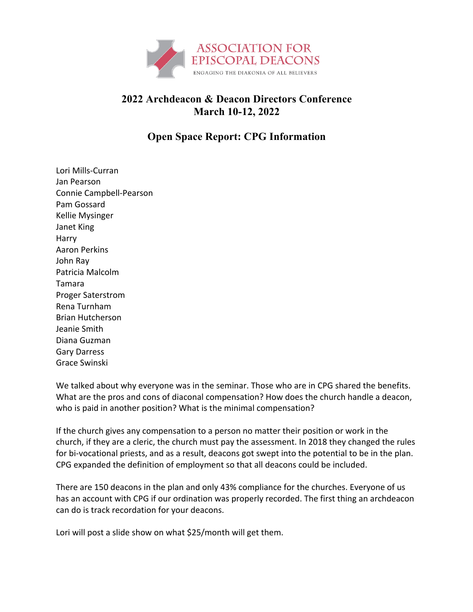

## **2022 Archdeacon & Deacon Directors Conference March 10-12, 2022**

## **Open Space Report: CPG Information**

Lori Mills-Curran Jan Pearson Connie Campbell-Pearson Pam Gossard Kellie Mysinger Janet King Harry Aaron Perkins John Ray Patricia Malcolm Tamara Proger Saterstrom Rena Turnham Brian Hutcherson Jeanie Smith Diana Guzman Gary Darress Grace Swinski

We talked about why everyone was in the seminar. Those who are in CPG shared the benefits. What are the pros and cons of diaconal compensation? How does the church handle a deacon, who is paid in another position? What is the minimal compensation?

If the church gives any compensation to a person no matter their position or work in the church, if they are a cleric, the church must pay the assessment. In 2018 they changed the rules for bi-vocational priests, and as a result, deacons got swept into the potential to be in the plan. CPG expanded the definition of employment so that all deacons could be included.

There are 150 deacons in the plan and only 43% compliance for the churches. Everyone of us has an account with CPG if our ordination was properly recorded. The first thing an archdeacon can do is track recordation for your deacons.

Lori will post a slide show on what \$25/month will get them.